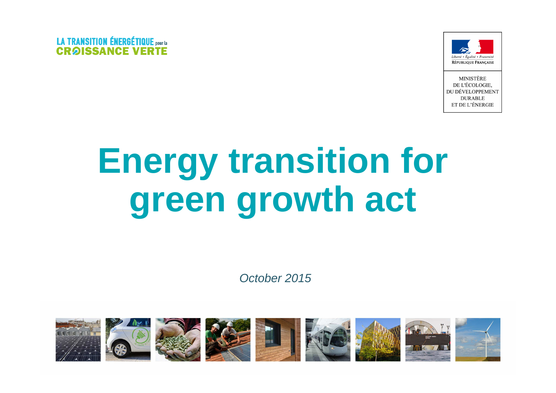



**MINISTÈRE** DE L'ÉCOLOGIE. DU DÉVELOPPEMENT **DURABLE** ET DE L'ÉNERGIE

# **Energy transition for green growth act**

October 2015

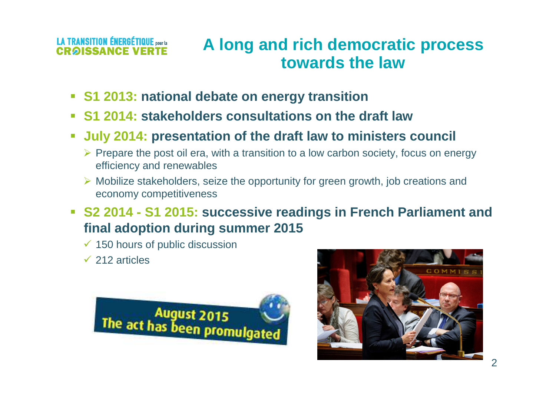### **A long and rich democratic processtowards the law**

- **S1 2013: national debate on energy transition**
- **S1 2014: stakeholders consultations on the draft law**
- **July 2014: presentation of the draft law to ministers council**  $\mathbb{R}^2$ 
	- > Prepare the post oil era, with a transition to a low carbon society, focus on energy efficiency and renewables
	- > Mobilize stakeholders, seize the opportunity for green growth, job creations and economy competitiveness
- **S2 2014 - S1 2015: successive readings in French Parliament and final adoption during summer 2015**
	- $\checkmark$  150 hours of public discussion
	- $\checkmark$  212 articles



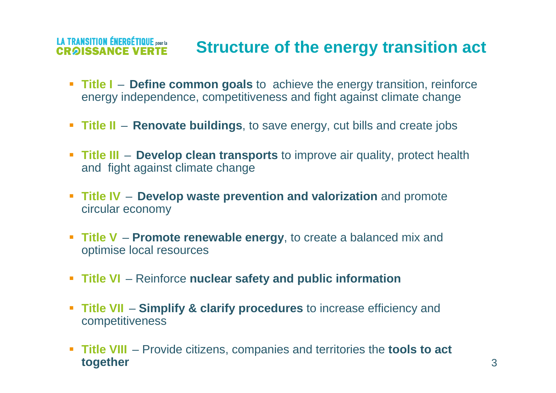#### **LA TRANSITION ÉNERGÉTIQUE** pour la **Structure of the energy transition actCRAISSANCE VE**

- **Title I** Define common goals to achieve the energy transition, reinforce energy independence, competitiveness and fight against climate change
- **Title II Renovate buildings**, to save energy, cut bills and create jobs
- **Title III Develop clean transports** to improve air quality, protect health and fight against climate change
- **Fitle IV** Develop waste prevention and valorization and promote circular economy
- **Title <sup>V</sup> Promote renewable energy**, to create a balanced mix and optimise local resources
- **Title VI** Reinforce **nuclear safety and public information**
- **Title VII Simplify & clarify procedures** to increase efficiency and competitiveness
- **Title VIII** Provide citizens, companies and territories the **tools to act together**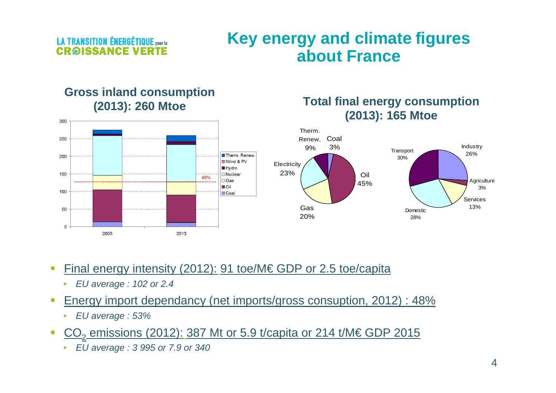**LA TRANSITION ÉNERGÉTIQUE** pour la **CROISSANCE VE** 

300

### **Key energy and climate figures about France**

### **Gross inland consumption (2013): 260 Mtoe**





- $\overline{\phantom{a}}$  Final energy intensity (2012): 91 toe/M€ GDP or 2.5 toe/capita
	- EU average : 102 or 2.4
- $\mathcal{L}_{\mathcal{A}}$  Energy import dependancy (net imports/gross consuption, 2012) : 48%
	- •EU average : 53%
- CO<sub>2</sub> emissions (2012): 387 Mt or 5.9 t/capita or 214 t/M€ GDP 2015  $\mathcal{C}$ 
	- EU average : 3 995 or 7.9 or 340•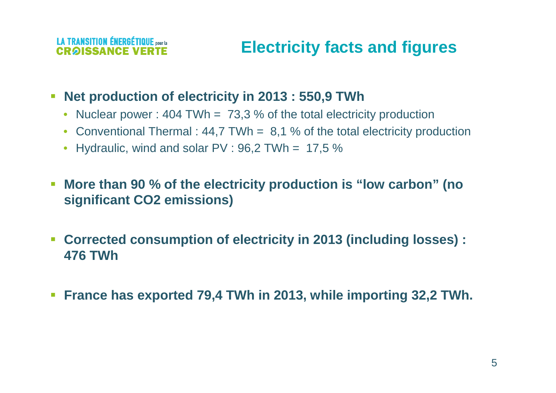#### **LA TRANSITION ÉNERGÉTIQUE noute** CROISSANCE

### **Electricity facts and figures**

- $\blacksquare$  **Net production of electricity in 2013 : 550,9 TWh**
	- Nuclear power : 404 TWh = 73,3 % of the total electricity production
	- Conventional Thermal : 44,7 TWh = 8,1 % of the total electricity production
	- Hydraulic, wind and solar  $PV : 96,2$  TWh = 17,5  $\%$
- $\overline{\phantom{a}}$  **More than 90 % of the electricity production is "low carbon" (no significant CO2 emissions)**
- $\mathcal{L}_{\mathcal{A}}$  **Corrected consumption of electricity in 2013 (including losses) : 476 TWh**
- $\overline{\mathbb{R}^n}$ **France has exported 79,4 TWh in 2013, while importing 32,2 TWh.**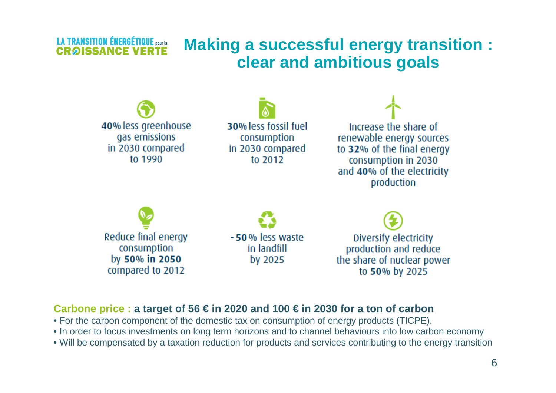### **LA TRANSITION ÉNERGÉTIQUE pour la Making a successful energy transition : clear and ambitious goals**



### **Carbone price : a target of 56 € in 2020 and 100 € in 2030 for a ton of carbon**

**CRAISSANCE** 

- For the carbon component of the domestic tax on consumption of energy products (TICPE).
- In order to focus investments on long term horizons and to channel behaviours into low carbon economy
- Will be compensated by a taxation reduction for products and services contributing to the energy transition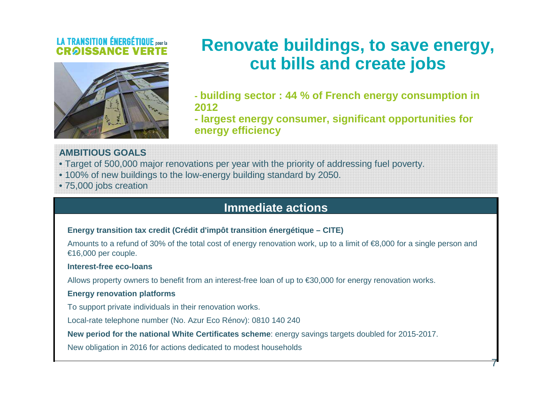

### **Renovate buildings, to save energy, cut bills and create jobs**

**- building sector : 44 % of French energy consumption in2012**

 **- largest energy consumer, significant opportunities for energy efficiency**

7

#### **AMBITIOUS GOALS**

• Target of 500,000 major renovations per year with the priority of addressing fuel poverty.

- 100% of new buildings to the low-energy building standard by 2050.
- 75,000 jobs creation

### **Immediate actions**

#### **Energy transition tax credit (Crédit d'impôt transition énergétique – CITE)**

Amounts to a refund of 30% of the total cost of energy renovation work, up to a limit of €8,000 for a single person and €16,000 per couple.

#### **Interest-free eco-loans**

Allows property owners to benefit from an interest-free loan of up to €30,000 for energy renovation works.

#### **Energy renovation platforms**

To support private individuals in their renovation works.

Local-rate telephone number (No. Azur Eco Rénov): 0810 140 240

**New period for the national White Certificates scheme**: energy savings targets doubled for 2015-2017.

New obligation in 2016 for actions dedicated to modest households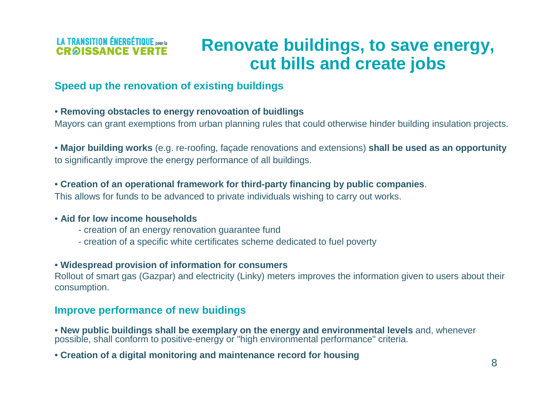### **LA TRANSITION ÉNERGÉTIQUE** pour la **CRAISSANCE VE**

### **Renovate buildings, to save energy, cut bills and create jobs**

### **Speed up the renovation of existing buildings**

### • **Removing obstacles to energy renovoation of buidlings**

Mayors can grant exemptions from urban planning rules that could otherwise hinder building insulation projects.

• **Major building works** (e.g. re-roofing, façade renovations and extensions) **shall be used as an opportunity** to significantly improve the energy performance of all buildings.

• **Creation of an operational framework for third-party financing by public companies**.

This allows for funds to be advanced to private individuals wishing to carry out works.

### • **Aid for low income households**

- creation of an energy renovation guarantee fund
- creation of a specific white certificates scheme dedicated to fuel poverty

### • **Widespread provision of information for consumers**

 Rollout of smart gas (Gazpar) and electricity (Linky) meters improves the information given to users about their consumption.

### **Improve performance of new buidings**

• **New public buildings shall be exemplary on the energy and environmental levels** and, whenever possible, shall conform to positive-energy or "high environmental performance" criteria.

• **Creation of a digital monitoring and maintenance record for housing**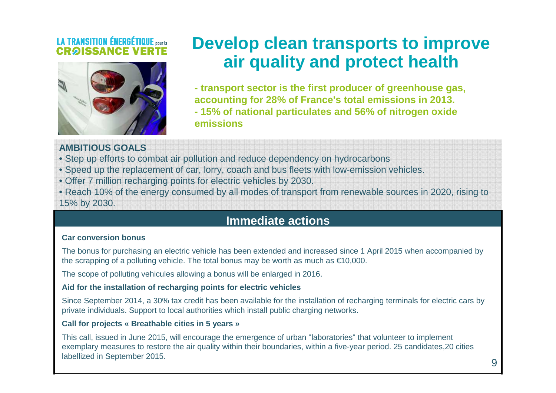

### **Develop clean transports to improve air quality and protect health**

**- transport sector is the first producer of greenhouse gas, accounting for 28% of France's total emissions in 2013.- 15% of national particulates and 56% of nitrogen oxide emissions**

#### **AMBITIOUS GOALS**

- Step up efforts to combat air pollution and reduce dependency on hydrocarbons
- Speed up the replacement of car, lorry, coach and bus fleets with low-emission vehicles.
- Offer 7 million recharging points for electric vehicles by 2030.
- Reach 10% of the energy consumed by all modes of transport from renewable sources in 2020, rising to

15% by 2030.

### **Immediate actions**

#### **Car conversion bonus**

The bonus for purchasing an electric vehicle has been extended and increased since 1 April 2015 when accompanied by the scrapping of a polluting vehicle. The total bonus may be worth as much as  $\epsilon$ 10,000.

The scope of polluting vehicules allowing a bonus will be enlarged in 2016.

#### **Aid for the installation of recharging points for electric vehicles**

Since September 2014, a 30% tax credit has been available for the installation of recharging terminals for electric cars by private individuals. Support to local authorities which install public charging networks.

#### **Call for projects « Breathable cities in 5 years »**

This call, issued in June 2015, will encourage the emergence of urban "laboratories" that volunteer to implement exemplary measures to restore the air quality within their boundaries, within a five-year period. 25 candidates,20 cities labellized in September 2015.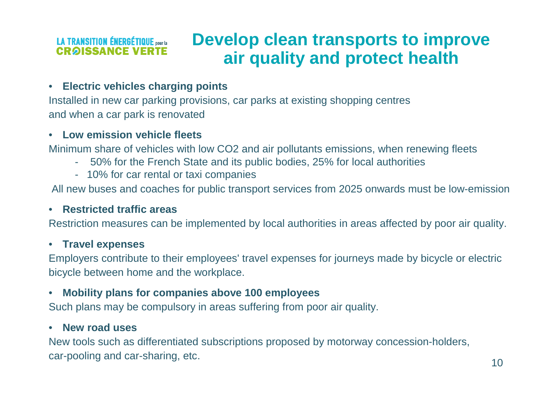#### **Develop clean transports to improve LA TRANSITION ÉNERGÉTIQUE pour la CRAISSANCE VERTE air quality and protect health**

#### $\bullet$ **Electric vehicles charging points**

 Installed in new car parking provisions, car parks at existing shopping centresand when a car park is renovated

#### $\bullet$ **Low emission vehicle fleets**

Minimum share of vehicles with low CO2 and air pollutants emissions, when renewing fleets

- 50% for the French State and its public bodies, 25% for local authorities
- 10% for car rental or taxi companies

All new buses and coaches for public transport services from 2025 onwards must be low-emission

### • **Restricted traffic areas**

Restriction measures can be implemented by local authorities in areas affected by poor air quality.

### • **Travel expenses**

 Employers contribute to their employees' travel expenses for journeys made by bicycle or electricbicycle between home and the workplace.

#### $\bullet$ **Mobility plans for companies above 100 employees**

Such plans may be compulsory in areas suffering from poor air quality.

#### $\bullet$ **New road uses**

 New tools such as differentiated subscriptions proposed by motorway concession-holders, car-pooling and car-sharing, etc.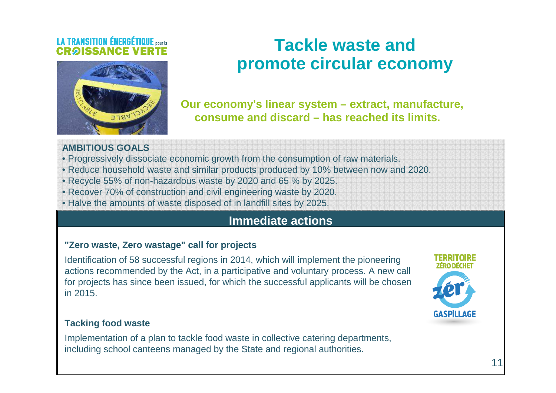

### **Tackle waste and promote circular economy**

**Our economy's linear system – extract, manufacture, consume and discard – has reached its limits.**

#### **AMBITIOUS GOALS**

- Progressively dissociate economic growth from the consumption of raw materials.
- Reduce household waste and similar products produced by 10% between now and 2020.
- Recycle 55% of non-hazardous waste by 2020 and 65 % by 2025.
- Recover 70% of construction and civil engineering waste by 2020.
- Halve the amounts of waste disposed of in landfill sites by 2025.

### **Immediate actions**

### **"Zero waste, Zero wastage" call for projects**

Identification of 58 successful regions in 2014, which will implement the pioneering actions recommended by the Act, in a participative and voluntary process. A new call for projects has since been issued, for which the successful applicants will be chosen in 2015.



### **Tacking food waste**

Implementation of a plan to tackle food waste in collective catering departments, including school canteens managed by the State and regional authorities.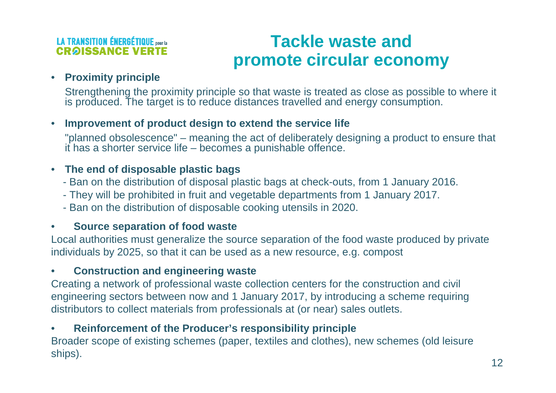### **LA TRANSITION ÉNERGÉTIQUE pour la CRAISSANCE VE**

### **Tackle waste and promote circular economy**

### • **Proximity principle**

 Strengthening the proximity principle so that waste is treated as close as possible to where it is produced. The target is to reduce distances travelled and energy consumption.

#### •**Improvement of product design to extend the service life**

 "planned obsolescence" – meaning the act of deliberately designing a product to ensure that it has a shorter service life – becomes a punishable offence.

### • **The end of disposable plastic bags**

- Ban on the distribution of disposal plastic bags at check-outs, from 1 January 2016.
- They will be prohibited in fruit and vegetable departments from 1 January 2017.
- Ban on the distribution of disposable cooking utensils in 2020.

#### •**Source separation of food waste**

 Local authorities must generalize the source separation of the food waste produced by privateindividuals by 2025, so that it can be used as a new resource, e.g. compost

#### •**Construction and engineering waste**

 Creating a network of professional waste collection centers for the construction and civilengineering sectors between now and 1 January 2017, by introducing a scheme requiringdistributors to collect materials from professionals at (or near) sales outlets.

#### $\bullet$ **Reinforcement of the Producer's responsibility principle**

 Broader scope of existing schemes (paper, textiles and clothes), new schemes (old leisureships).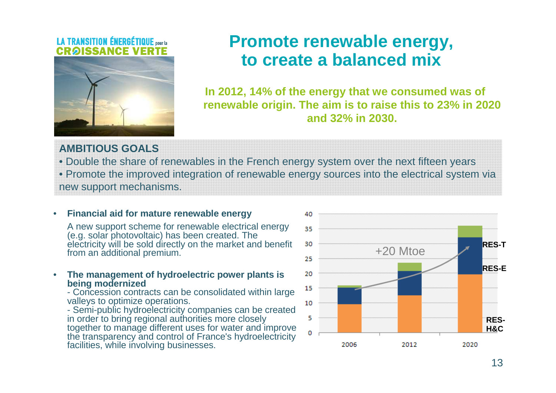

### **Promote renewable energy, to create a balanced mix**

**In 2012, 14% of the energy that we consumed was of renewable origin. The aim is to raise this to 23% in 2020 and 32% in 2030.**

**AMBITIOUS GOALS**

 • Double the share of renewables in the French energy system over the next fifteen years • Promote the improved integration of renewable energy sources into the electrical system via new support mechanisms.

#### $\bullet$ **Financial aid for mature renewable energy**

 A new support scheme for renewable electrical energy (e.g. solar photovoltaic) has been created. The electricity will be sold directly on the market and benefit from an additional premium.

 $\bullet$  **The management of hydroelectric power plants is being modernized**

 - Concession contracts can be consolidated within large valleys to optimize operations.

 - Semi-public hydroelectricity companies can be created in order to bring regional authorities more closely together to manage different uses for water and improve the transparency and control of France's hydroelectricity facilities, while involving businesses.

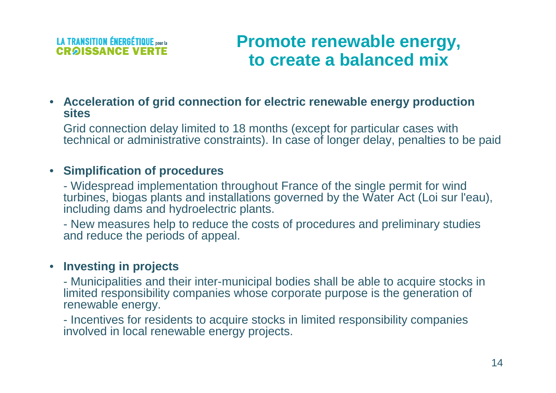

### **Promote renewable energy, to create a balanced mix**

• **Acceleration of grid connection for electric renewable energy production sites**

 Grid connection delay limited to 18 months (except for particular cases withtechnical or administrative constraints). In case of longer delay, penalties to be paid

### • **Simplification of procedures**

 - Widespread implementation throughout France of the single permit for wind turbines, biogas plants and installations governed by the Water Act (Loi sur l'eau), including dams and hydroelectric plants.

- New measures help to reduce the costs of procedures and preliminary studies and reduce the periods of appeal.

### • **Investing in projects**

 - Municipalities and their inter-municipal bodies shall be able to acquire stocks in limited responsibility companies whose corporate purpose is the generation of renewable energy.

- Incentives for residents to acquire stocks in limited responsibility companies involved in local renewable energy projects.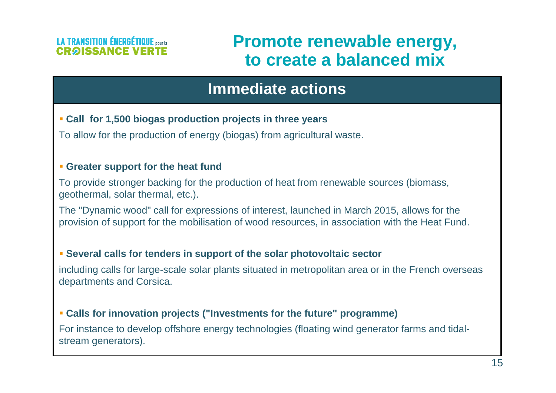### **Promote renewable energy, to create a balanced mix**

### **Immediate actions**

### **Call for 1,500 biogas production projects in three years**

To allow for the production of energy (biogas) from agricultural waste.

### **Greater support for the heat fund**

To provide stronger backing for the production of heat from renewable sources (biomass, geothermal, solar thermal, etc.).

The "Dynamic wood" call for expressions of interest, launched in March 2015, allows for the provision of support for the mobilisation of wood resources, in association with the Heat Fund.

### **Several calls for tenders in support of the solar photovoltaic sector**

including calls for large-scale solar plants situated in metropolitan area or in the French overseas departments and Corsica.

### **Calls for innovation projects ("Investments for the future" programme)**

For instance to develop offshore energy technologies (floating wind generator farms and tidalstream generators).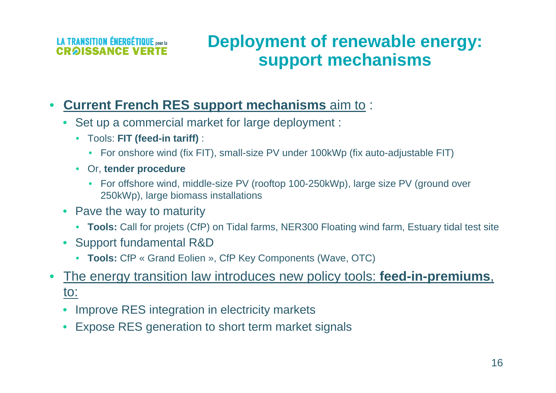### **LA TRANSITION ÉNERGÉTIQUE pourla CRAISSANCE \**

### **Deployment of renewable energy:support mechanisms**

#### •**Current French RES support mechanisms** aim to :

- $\bullet$  Set up a commercial market for large deployment :
	- Tools: **FIT (feed-in tariff)** :
		- For onshore wind (fix FIT), small-size PV under 100kWp (fix auto-adjustable FIT)
	- Or, **tender procedure**
		- For offshore wind, middle-size PV (rooftop 100-250kWp), large size PV (ground over 250kWp), large biomass installations
- Pave the way to maturity
	- **Tools:** Call for projets (CfP) on Tidal farms, NER300 Floating wind farm, Estuary tidal test site
- Support fundamental R&D
	- **Tools:** CfP « Grand Eolien », CfP Key Components (Wave, OTC)
- $\bullet$  The energy transition law introduces new policy tools: **feed-in-premiums**, to:
	- $\bullet$ Improve RES integration in electricity markets
	- •Expose RES generation to short term market signals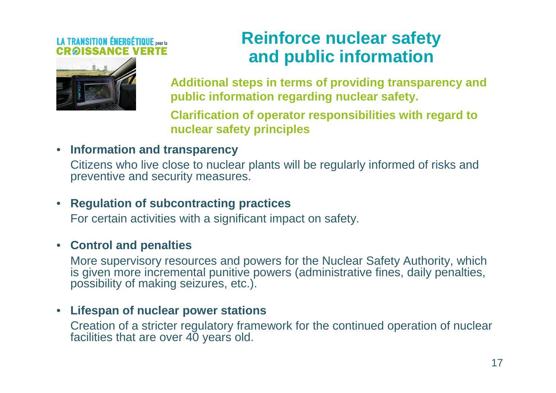

### **Reinforce nuclear safety and public information**

**Additional steps in terms of providing transparency and public information regarding nuclear safety.** 

**Clarification of operator responsibilities with regard to nuclear safety principles**

### • **Information and transparency**

 Citizens who live close to nuclear plants will be regularly informed of risks and preventive and security measures.

### • **Regulation of subcontracting practices**

For certain activities with a significant impact on safety.

### • **Control and penalties**

 More supervisory resources and powers for the Nuclear Safety Authority, which is given more incremental punitive powers (administrative fines, daily penalties, possibility of making seizures, etc.).

### • **Lifespan of nuclear power stations**

 Creation of a stricter regulatory framework for the continued operation of nuclear facilities that are over 40 years old.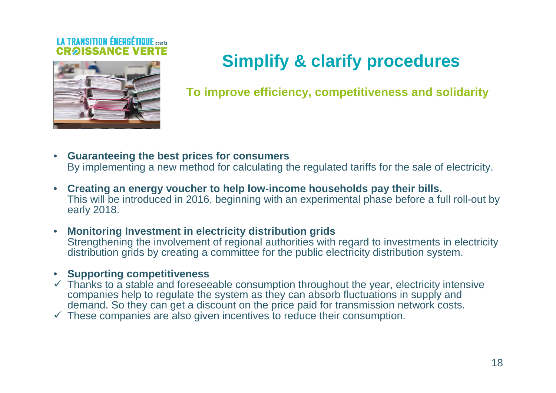

## **Simplify & clarify procedures**

**To improve efficiency, competitiveness and solidarity**

- **Guaranteeing the best prices for consumers**By implementing a new method for calculating the regulated tariffs for the sale of electricity.
- **Creating an energy voucher to help low-income households pay their bills.**  This will be introduced in 2016, beginning with an experimental phase before a full roll-out by early 2018.
- **Monitoring Investment in electricity distribution grids** Strengthening the involvement of regional authorities with regard to investments in electricity distribution grids by creating a committee for the public electricity distribution system.

### • **Supporting competitiveness**

- $\checkmark$  Thanks to a stable and foreseeable consumption throughout the year, electricity intensive companies help to requisite the system as they can absorb fluctuations in supply and companies help to regulate the system as they can absorb fluctuations in supply and demand. So they can get a discount on the price paid for transmission network costs.
- $\checkmark$  These companies are also given incentives to reduce their consumption.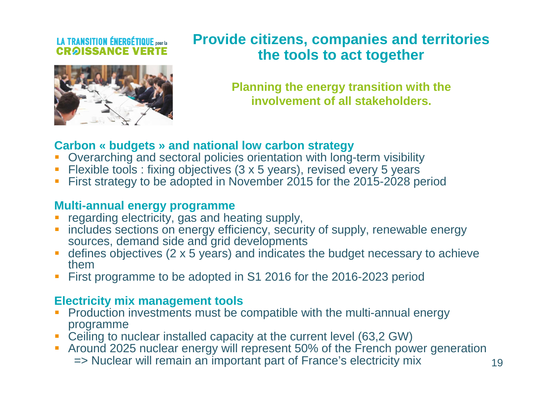### **LA TRANSITION ÉNERGÉTIQUE** pour la **CRAISSANCE VE**



### **Provide citizens, companies and territories the tools to act together**

**Planning the energy transition with the involvement of all stakeholders.**

### **Carbon « budgets » and national low carbon strategy**

- H Overarching and sectoral policies orientation with long-term visibility
- Flexible tools : fixing objectives (3 x 5 years), revised every 5 years
- **First strategy to be adopted in November 2015 for the 2015-2028 period**

### **Multi-annual energy programme**

- **Performally example contracts** regarding electricity, gas and heating supply, П
- **includes sections on energy efficiency, security of supply, renewable energy** sources, demand side and grid developments
- defines objectives (2 x 5 years) and indicates the budget necessary to achieve them
- **First programme to be adopted in S1 2016 for the 2016-2023 period**

### **Electricity mix management tools**

- **Production investments must be compatible with the multi-annual energy** П programme
- Ceiling to nuclear installed capacity at the current level (63,2 GW)
- **Around 2025 nuclear energy will represent 50% of the French power generation** => Nuclear will remain an important part of France's electricity mix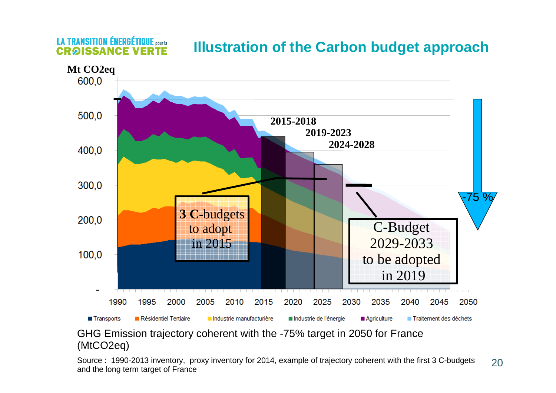

### **Illustration of the Carbon budget approach**

GHG Emission trajectory coherent with the -75% target in 2050 for France (MtCO2eq)

**LA TRANSITION ÉNERGÉTIQUE** pour la

**CRAISSANCE** 

20Source : 1990-2013 inventory, proxy inventory for 2014, example of trajectory coherent with the first 3 C-budgets and the long term target of France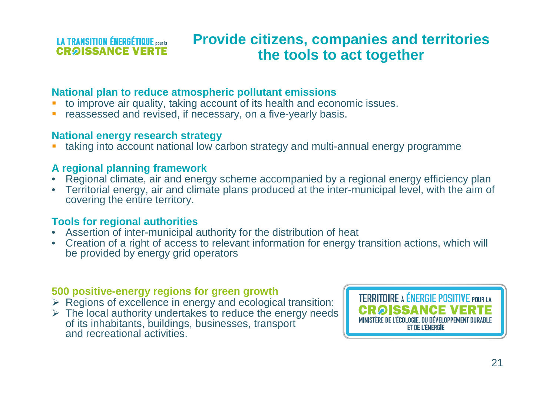### **LA TRANSITION ÉNERGÉTIQUE DOUT LA CROISSANCE VERTE**

### **Provide citizens, companies and territories the tools to act together**

### **National plan to reduce atmospheric pollutant emissions**

- to improve air quality, taking account of its health and economic issues.
- reassessed and revised, if necessary, on a five-yearly basis.

### **National energy research strategy**

 taking into account national low carbon strategy and multi-annual energy programmeг

### **A regional planning framework**

- Regional climate, air and energy scheme accompanied by a regional energy efficiency plan•
- Territorial energy, air and climate plans produced at the inter-municipal level, with the aim of covering the entire territory.

### **Tools for regional authorities**

- Assertion of inter-municipal authority for the distribution of heat •
- Creation of a right of access to relevant information for energy transition actions, which will be provided by energy grid operators

### **500 positive-energy regions for green growth**

- > Regions of excellence in energy and ecological transition:<br>► The local authority undertakes to reduce the energy needs
- > The local authority undertakes to reduce the energy needs of its inhabitants buildings businesses transport of its inhabitants, buildings, businesses, transport and recreational activities.

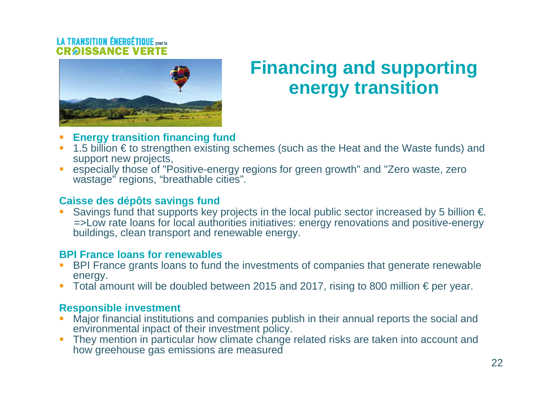

## **Financing and supporting energy transition**

- П **Energy transition financing fund**
- 1.5 billion € to strengthen existing schemes (such as the Heat and the Waste funds) and ▉ support new projects,
- **EXECTE ASSECTED EXECTED EXECTED FOR THE EXECTED SET OF SET OF SET OF SET OF SET OF SET OF SET OF SET OF SET OF SET OF SET OF SET OF SET OF SET OF SET OF SET OF SET OF SET OF SET OF SET OF SET OF SET OF SET OF SET OF SET O** П wastage" regions, "breathable cities".

### **Caisse des dépôts savings fund**

▉ Savings fund that supports key projects in the local public sector increased by 5 billion  $\epsilon$ . =>Low rate loans for local authorities initiatives: energy renovations and positive-energy buildings, clean transport and renewable energy.

### **BPI France loans for renewables**

- **BPI France grants loans to fund the investments of companies that generate renewable** П energy.
- Total amount will be doubled between 2015 and 2017, rising to 800 million € per year.

### **Responsible investment**

- **Major financial institutions and companies publish in their annual reports the social and** ▉ environmental inpact of their investment policy.
- П They mention in particular how climate change related risks are taken into account and how greehouse gas emissions are measured